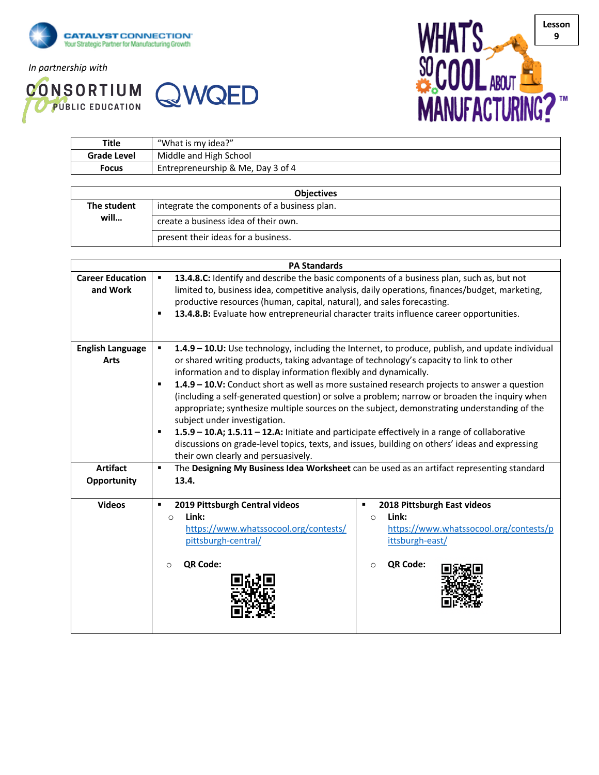

*In partnership with*





| <b>Title</b> | "What is my idea?"                |
|--------------|-----------------------------------|
| Grade Level  | Middle and High School            |
| Focus        | Entrepreneurship & Me, Day 3 of 4 |

| <b>Objectives</b> |                                              |  |
|-------------------|----------------------------------------------|--|
| The student       | integrate the components of a business plan. |  |
| will              | create a business idea of their own.         |  |
|                   | present their ideas for a business.          |  |

|                                     | <b>PA Standards</b>                                                                                                                                                                                                                                                                                                                                                                                                                                                                                                                                                                                                                                                                                                                                                                                                                                    |
|-------------------------------------|--------------------------------------------------------------------------------------------------------------------------------------------------------------------------------------------------------------------------------------------------------------------------------------------------------------------------------------------------------------------------------------------------------------------------------------------------------------------------------------------------------------------------------------------------------------------------------------------------------------------------------------------------------------------------------------------------------------------------------------------------------------------------------------------------------------------------------------------------------|
| <b>Career Education</b><br>and Work | 13.4.8.C: Identify and describe the basic components of a business plan, such as, but not<br>$\blacksquare$<br>limited to, business idea, competitive analysis, daily operations, finances/budget, marketing,<br>productive resources (human, capital, natural), and sales forecasting.<br>13.4.8.B: Evaluate how entrepreneurial character traits influence career opportunities.<br>٠                                                                                                                                                                                                                                                                                                                                                                                                                                                                |
| <b>English Language</b><br>Arts     | 1.4.9 - 10.U: Use technology, including the Internet, to produce, publish, and update individual<br>٠<br>or shared writing products, taking advantage of technology's capacity to link to other<br>information and to display information flexibly and dynamically.<br>1.4.9 - 10.V: Conduct short as well as more sustained research projects to answer a question<br>٠<br>(including a self-generated question) or solve a problem; narrow or broaden the inquiry when<br>appropriate; synthesize multiple sources on the subject, demonstrating understanding of the<br>subject under investigation.<br>1.5.9 - 10.A; 1.5.11 - 12.A: Initiate and participate effectively in a range of collaborative<br>٠<br>discussions on grade-level topics, texts, and issues, building on others' ideas and expressing<br>their own clearly and persuasively. |
| <b>Artifact</b><br>Opportunity      | The Designing My Business Idea Worksheet can be used as an artifact representing standard<br>٠<br>13.4.                                                                                                                                                                                                                                                                                                                                                                                                                                                                                                                                                                                                                                                                                                                                                |
| <b>Videos</b>                       | 2019 Pittsburgh Central videos<br>2018 Pittsburgh East videos<br>$\blacksquare$<br>٠<br>Link:<br>Link:<br>$\Omega$<br>$\Omega$<br>https://www.whatssocool.org/contests/<br>https://www.whatssocool.org/contests/p<br>pittsburgh-central/<br>ittsburgh-east/<br>QR Code:<br>QR Code:<br>$\Omega$<br>$\circ$                                                                                                                                                                                                                                                                                                                                                                                                                                                                                                                                             |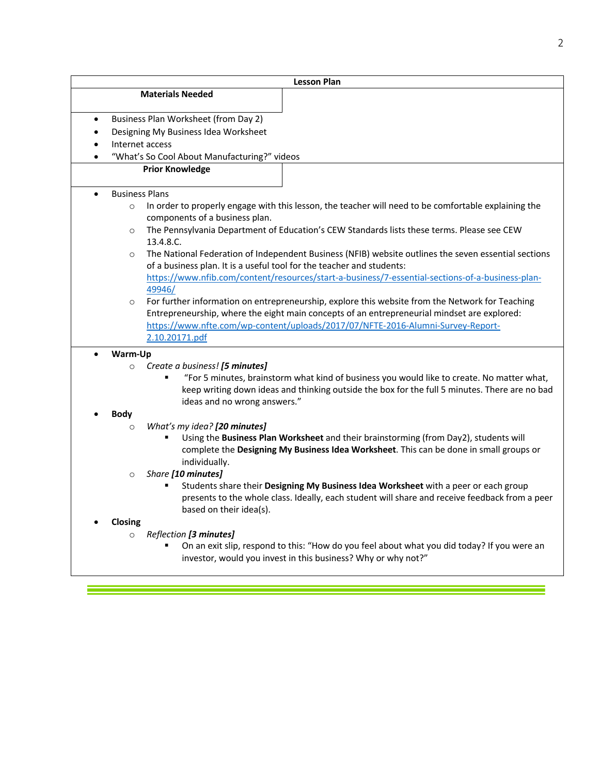|                                                   | <b>Lesson Plan</b>    |                                                                                                      |  |
|---------------------------------------------------|-----------------------|------------------------------------------------------------------------------------------------------|--|
|                                                   |                       | <b>Materials Needed</b>                                                                              |  |
|                                                   |                       |                                                                                                      |  |
| Business Plan Worksheet (from Day 2)<br>$\bullet$ |                       |                                                                                                      |  |
| Designing My Business Idea Worksheet<br>٠         |                       |                                                                                                      |  |
|                                                   | Internet access       |                                                                                                      |  |
|                                                   |                       | "What's So Cool About Manufacturing?" videos                                                         |  |
|                                                   |                       | <b>Prior Knowledge</b>                                                                               |  |
|                                                   | <b>Business Plans</b> |                                                                                                      |  |
|                                                   | $\circ$               | In order to properly engage with this lesson, the teacher will need to be comfortable explaining the |  |
|                                                   |                       | components of a business plan.                                                                       |  |
|                                                   | $\circ$               | The Pennsylvania Department of Education's CEW Standards lists these terms. Please see CEW           |  |
|                                                   |                       | 13.4.8.C.                                                                                            |  |
|                                                   | $\circ$               | The National Federation of Independent Business (NFIB) website outlines the seven essential sections |  |
|                                                   |                       | of a business plan. It is a useful tool for the teacher and students:                                |  |
|                                                   |                       | https://www.nfib.com/content/resources/start-a-business/7-essential-sections-of-a-business-plan-     |  |
|                                                   |                       | 49946/                                                                                               |  |
|                                                   | $\circ$               | For further information on entrepreneurship, explore this website from the Network for Teaching      |  |
|                                                   |                       | Entrepreneurship, where the eight main concepts of an entrepreneurial mindset are explored:          |  |
|                                                   |                       | https://www.nfte.com/wp-content/uploads/2017/07/NFTE-2016-Alumni-Survey-Report-                      |  |
|                                                   |                       | 2.10.20171.pdf                                                                                       |  |
|                                                   | Warm-Up               |                                                                                                      |  |
|                                                   | $\circ$               | Create a business! [5 minutes]                                                                       |  |
|                                                   |                       | "For 5 minutes, brainstorm what kind of business you would like to create. No matter what,           |  |
|                                                   |                       | keep writing down ideas and thinking outside the box for the full 5 minutes. There are no bad        |  |
|                                                   |                       | ideas and no wrong answers."                                                                         |  |
|                                                   | <b>Body</b>           |                                                                                                      |  |
|                                                   | $\circ$               | What's my idea? [20 minutes]                                                                         |  |
|                                                   |                       | Using the Business Plan Worksheet and their brainstorming (from Day2), students will                 |  |
|                                                   |                       | complete the Designing My Business Idea Worksheet. This can be done in small groups or               |  |
|                                                   |                       | individually.                                                                                        |  |
|                                                   | $\circ$               | Share [10 minutes]                                                                                   |  |
|                                                   |                       | Students share their Designing My Business Idea Worksheet with a peer or each group                  |  |
|                                                   |                       | presents to the whole class. Ideally, each student will share and receive feedback from a peer       |  |
|                                                   |                       | based on their idea(s).                                                                              |  |
|                                                   | Closing               |                                                                                                      |  |
|                                                   | $\circ$               | Reflection [3 minutes]                                                                               |  |
|                                                   |                       | On an exit slip, respond to this: "How do you feel about what you did today? If you were an          |  |
|                                                   |                       | investor, would you invest in this business? Why or why not?"                                        |  |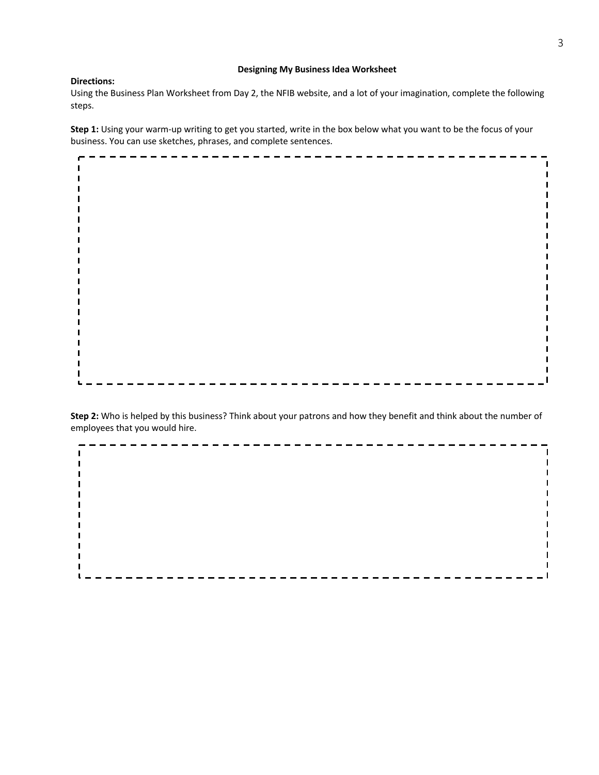## **Designing My Business Idea Worksheet**

## **Directions:**

Using the Business Plan Worksheet from Day 2, the NFIB website, and a lot of your imagination, complete the following steps.

**Step 1:** Using your warm-up writing to get you started, write in the box below what you want to be the focus of your business. You can use sketches, phrases, and complete sentences.



**Step 2:** Who is helped by this business? Think about your patrons and how they benefit and think about the number of employees that you would hire.